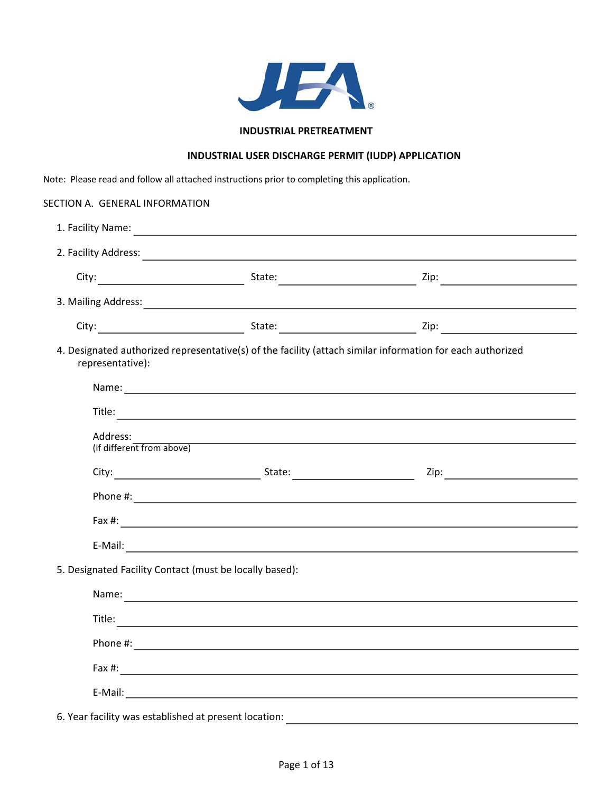

## **INDUSTRIAL PRETREATMENT**

# **INDUSTRIAL USER DISCHARGE PERMIT (IUDP) APPLICATION**

Note: Please read and follow all attached instructions prior to completing this application.

| SECTION A. GENERAL INFORMATION                          |                                                                                                                                                                                                                                |                                                                                                                                                                                                                                |
|---------------------------------------------------------|--------------------------------------------------------------------------------------------------------------------------------------------------------------------------------------------------------------------------------|--------------------------------------------------------------------------------------------------------------------------------------------------------------------------------------------------------------------------------|
|                                                         |                                                                                                                                                                                                                                | 2. Facility Address: 2008. The Contract of the Contract of the Contract of the Contract of the Contract of the Contract of the Contract of the Contract of the Contract of the Contract of the Contract of the Contract of the |
|                                                         |                                                                                                                                                                                                                                |                                                                                                                                                                                                                                |
|                                                         | 3. Mailing Address: 1999. The Commission of the Commission of the Commission of the Commission of the Commission of the Commission of the Commission of the Commission of the Commission of the Commission of the Commission o |                                                                                                                                                                                                                                |
|                                                         |                                                                                                                                                                                                                                |                                                                                                                                                                                                                                |
| representative):                                        |                                                                                                                                                                                                                                | 4. Designated authorized representative(s) of the facility (attach similar information for each authorized                                                                                                                     |
|                                                         |                                                                                                                                                                                                                                |                                                                                                                                                                                                                                |
| Address:<br>(if different from above)                   |                                                                                                                                                                                                                                | the contract of the contract of the contract of the contract of the contract of the contract of the contract of                                                                                                                |
|                                                         |                                                                                                                                                                                                                                |                                                                                                                                                                                                                                |
|                                                         |                                                                                                                                                                                                                                |                                                                                                                                                                                                                                |
|                                                         |                                                                                                                                                                                                                                |                                                                                                                                                                                                                                |
|                                                         |                                                                                                                                                                                                                                |                                                                                                                                                                                                                                |
| 5. Designated Facility Contact (must be locally based): |                                                                                                                                                                                                                                |                                                                                                                                                                                                                                |
|                                                         |                                                                                                                                                                                                                                |                                                                                                                                                                                                                                |
|                                                         |                                                                                                                                                                                                                                |                                                                                                                                                                                                                                |
|                                                         |                                                                                                                                                                                                                                |                                                                                                                                                                                                                                |
|                                                         |                                                                                                                                                                                                                                | Fax #: $\qquad \qquad$                                                                                                                                                                                                         |
|                                                         |                                                                                                                                                                                                                                |                                                                                                                                                                                                                                |

6. Year facility was established at present location: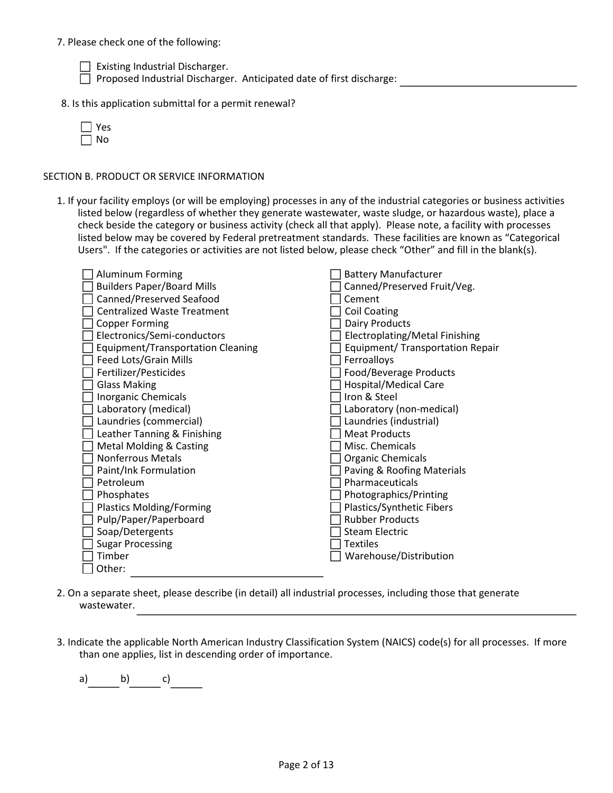### 7. Please check one of the following:

 $\Box$  Existing Industrial Discharger.

Proposed Industrial Discharger. Anticipated date of first discharge:

8. Is this application submittal for a permit renewal?

## SECTION B. PRODUCT OR SERVICE INFORMATION

1. If your facility employs (or will be employing) processes in any of the industrial categories or business activities listed below (regardless of whether they generate wastewater, waste sludge, or hazardous waste), place a check beside the category or business activity (check all that apply). Please note, a facility with processes listed below may be covered by Federal pretreatment standards. These facilities are known as "Categorical Users". If the categories or activities are not listed below, please check "Other" and fill in the blank(s).

| <b>Aluminum Forming</b>                  | <b>Battery Manufacturer</b>           |
|------------------------------------------|---------------------------------------|
| <b>Builders Paper/Board Mills</b>        | Canned/Preserved Fruit/Veg.           |
| Canned/Preserved Seafood                 | Cement                                |
| <b>Centralized Waste Treatment</b>       | <b>Coil Coating</b>                   |
| <b>Copper Forming</b>                    | <b>Dairy Products</b>                 |
| Electronics/Semi-conductors              | <b>Electroplating/Metal Finishing</b> |
| <b>Equipment/Transportation Cleaning</b> | Equipment/ Transportation Repair      |
| Feed Lots/Grain Mills                    | Ferroalloys                           |
| Fertilizer/Pesticides                    | Food/Beverage Products                |
| <b>Glass Making</b>                      | <b>Hospital/Medical Care</b>          |
| <b>Inorganic Chemicals</b>               | Iron & Steel                          |
| Laboratory (medical)                     | Laboratory (non-medical)              |
| Laundries (commercial)                   | Laundries (industrial)                |
| Leather Tanning & Finishing              | <b>Meat Products</b>                  |
| <b>Metal Molding &amp; Casting</b>       | Misc. Chemicals                       |
| <b>Nonferrous Metals</b>                 | <b>Organic Chemicals</b>              |
| Paint/Ink Formulation                    | Paving & Roofing Materials            |
| Petroleum                                | Pharmaceuticals                       |
| Phosphates                               | Photographics/Printing                |
| <b>Plastics Molding/Forming</b>          | Plastics/Synthetic Fibers             |
| Pulp/Paper/Paperboard                    | <b>Rubber Products</b>                |
| Soap/Detergents                          | <b>Steam Electric</b>                 |
| <b>Sugar Processing</b>                  | <b>Textiles</b>                       |
| Timber                                   | Warehouse/Distribution                |
| Other:                                   |                                       |

- 2. On a separate sheet, please describe (in detail) all industrial processes, including those that generate wastewater.
- 3. Indicate the applicable North American Industry Classification System (NAICS) code(s) for all processes. If more than one applies, list in descending order of importance.

a) b) c)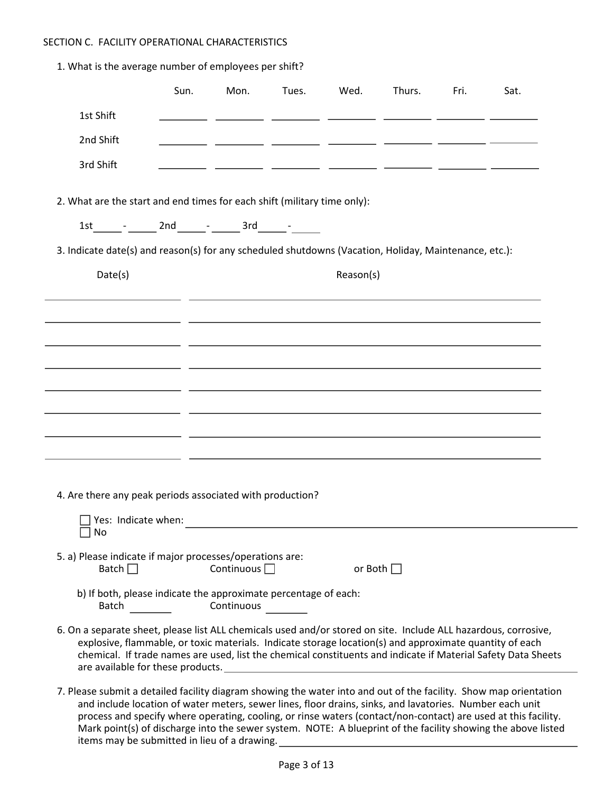## SECTION C. FACILITY OPERATIONAL CHARACTERISTICS

1. What is the average number of employees per shift?

|                                                                                                                                                                                                                                                                                                                                                                                                                                                              | Sun. | Mon.              | Tues. | Wed.      | Thurs.         | Fri. | Sat.                                                                                                                                                                                                                           |
|--------------------------------------------------------------------------------------------------------------------------------------------------------------------------------------------------------------------------------------------------------------------------------------------------------------------------------------------------------------------------------------------------------------------------------------------------------------|------|-------------------|-------|-----------|----------------|------|--------------------------------------------------------------------------------------------------------------------------------------------------------------------------------------------------------------------------------|
| 1st Shift                                                                                                                                                                                                                                                                                                                                                                                                                                                    |      |                   |       |           |                |      |                                                                                                                                                                                                                                |
| 2nd Shift                                                                                                                                                                                                                                                                                                                                                                                                                                                    |      |                   |       |           |                |      |                                                                                                                                                                                                                                |
| 3rd Shift                                                                                                                                                                                                                                                                                                                                                                                                                                                    |      |                   |       |           |                |      |                                                                                                                                                                                                                                |
| 2. What are the start and end times for each shift (military time only):                                                                                                                                                                                                                                                                                                                                                                                     |      |                   |       |           |                |      |                                                                                                                                                                                                                                |
| $1st$ _______ _ ______ 2nd _______ _ ______ 3rd ______ - ______                                                                                                                                                                                                                                                                                                                                                                                              |      |                   |       |           |                |      |                                                                                                                                                                                                                                |
| 3. Indicate date(s) and reason(s) for any scheduled shutdowns (Vacation, Holiday, Maintenance, etc.):                                                                                                                                                                                                                                                                                                                                                        |      |                   |       |           |                |      |                                                                                                                                                                                                                                |
| Date(s)                                                                                                                                                                                                                                                                                                                                                                                                                                                      |      |                   |       | Reason(s) |                |      |                                                                                                                                                                                                                                |
|                                                                                                                                                                                                                                                                                                                                                                                                                                                              |      |                   |       |           |                |      |                                                                                                                                                                                                                                |
|                                                                                                                                                                                                                                                                                                                                                                                                                                                              |      |                   |       |           |                |      |                                                                                                                                                                                                                                |
|                                                                                                                                                                                                                                                                                                                                                                                                                                                              |      |                   |       |           |                |      |                                                                                                                                                                                                                                |
|                                                                                                                                                                                                                                                                                                                                                                                                                                                              |      |                   |       |           |                |      |                                                                                                                                                                                                                                |
|                                                                                                                                                                                                                                                                                                                                                                                                                                                              |      |                   |       |           |                |      |                                                                                                                                                                                                                                |
|                                                                                                                                                                                                                                                                                                                                                                                                                                                              |      |                   |       |           |                |      |                                                                                                                                                                                                                                |
|                                                                                                                                                                                                                                                                                                                                                                                                                                                              |      |                   |       |           |                |      |                                                                                                                                                                                                                                |
|                                                                                                                                                                                                                                                                                                                                                                                                                                                              |      |                   |       |           |                |      |                                                                                                                                                                                                                                |
| 4. Are there any peak periods associated with production?                                                                                                                                                                                                                                                                                                                                                                                                    |      |                   |       |           |                |      |                                                                                                                                                                                                                                |
| Yes: Indicate when:                                                                                                                                                                                                                                                                                                                                                                                                                                          |      |                   |       |           |                |      |                                                                                                                                                                                                                                |
| No                                                                                                                                                                                                                                                                                                                                                                                                                                                           |      |                   |       |           |                |      |                                                                                                                                                                                                                                |
| 5. a) Please indicate if major processes/operations are:<br>Batch $\Box$                                                                                                                                                                                                                                                                                                                                                                                     |      | Continuous $\Box$ |       |           | or Both $\Box$ |      |                                                                                                                                                                                                                                |
| b) If both, please indicate the approximate percentage of each:                                                                                                                                                                                                                                                                                                                                                                                              |      | Continuous        |       |           |                |      |                                                                                                                                                                                                                                |
| 6. On a separate sheet, please list ALL chemicals used and/or stored on site. Include ALL hazardous, corrosive,<br>explosive, flammable, or toxic materials. Indicate storage location(s) and approximate quantity of each<br>are available for these products. Notice that the series of the series of the series of the series of the series of the series of the series of the series of the series of the series of the series of the series of the seri |      |                   |       |           |                |      | chemical. If trade names are used, list the chemical constituents and indicate if Material Safety Data Sheets                                                                                                                  |
| 7. Please submit a detailed facility diagram showing the water into and out of the facility. Show map orientation<br>and include location of water meters, sewer lines, floor drains, sinks, and lavatories. Number each unit                                                                                                                                                                                                                                |      |                   |       |           |                |      | process and specify where operating, cooling, or rinse waters (contact/non-contact) are used at this facility.<br>Mark point(s) of discharge into the sewer system. NOTE: A blueprint of the facility showing the above listed |

items may be submitted in lieu of a drawing.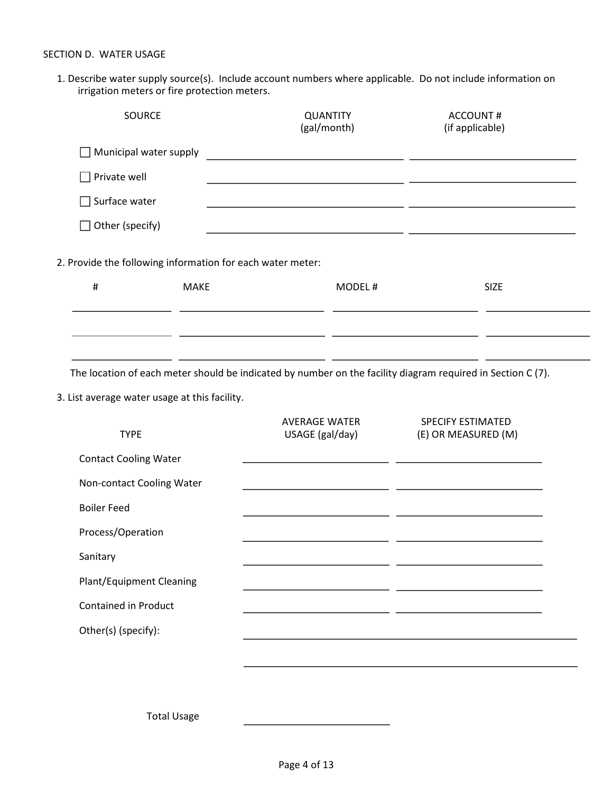1. Describe water supply source(s). Include account numbers where applicable. Do not include information on irrigation meters or fire protection meters.

| SOURCE                                                                                                      | <b>QUANTITY</b><br>(gal/month)                                                                                        | <b>ACCOUNT#</b><br>(if applicable)                                                                                    |
|-------------------------------------------------------------------------------------------------------------|-----------------------------------------------------------------------------------------------------------------------|-----------------------------------------------------------------------------------------------------------------------|
| Municipal water supply                                                                                      | <u> 1980 - Andrea Andrew Maria (h. 1980).</u>                                                                         |                                                                                                                       |
| Private well                                                                                                |                                                                                                                       |                                                                                                                       |
| Surface water                                                                                               |                                                                                                                       |                                                                                                                       |
| Other (specify)                                                                                             |                                                                                                                       | <u> 1989 - Johann Barbara, martxa eta politikaria (h. 1989).</u>                                                      |
| 2. Provide the following information for each water meter:                                                  |                                                                                                                       |                                                                                                                       |
| $\#$<br><b>MAKE</b>                                                                                         | MODEL#                                                                                                                | <b>SIZE</b>                                                                                                           |
|                                                                                                             |                                                                                                                       |                                                                                                                       |
|                                                                                                             |                                                                                                                       |                                                                                                                       |
| The location of each meter should be indicated by number on the facility diagram required in Section C (7). |                                                                                                                       |                                                                                                                       |
| 3. List average water usage at this facility.                                                               |                                                                                                                       |                                                                                                                       |
| <b>TYPE</b>                                                                                                 | <b>AVERAGE WATER</b><br>USAGE (gal/day)                                                                               | SPECIFY ESTIMATED<br>(E) OR MEASURED (M)                                                                              |
| <b>Contact Cooling Water</b>                                                                                |                                                                                                                       | <u> 1989 - Johann Harry Harry Barn, amerikan bisa di sebagai perang perang perang perang perang perang perang per</u> |
| Non-contact Cooling Water                                                                                   | <u> 1989 - Johann Harry Harry Barn, amerikan bahasa pengaran pengaran pengaran pengaran pengaran pengaran pengara</u> |                                                                                                                       |
| <b>Boiler Feed</b>                                                                                          |                                                                                                                       |                                                                                                                       |
| Process/Operation                                                                                           |                                                                                                                       |                                                                                                                       |
| Sanitary                                                                                                    |                                                                                                                       |                                                                                                                       |
| <b>Plant/Equipment Cleaning</b>                                                                             |                                                                                                                       |                                                                                                                       |
| <b>Contained in Product</b>                                                                                 |                                                                                                                       |                                                                                                                       |
| Other(s) (specify):                                                                                         |                                                                                                                       |                                                                                                                       |
|                                                                                                             |                                                                                                                       |                                                                                                                       |
|                                                                                                             |                                                                                                                       |                                                                                                                       |
| <b>Total Usage</b>                                                                                          |                                                                                                                       |                                                                                                                       |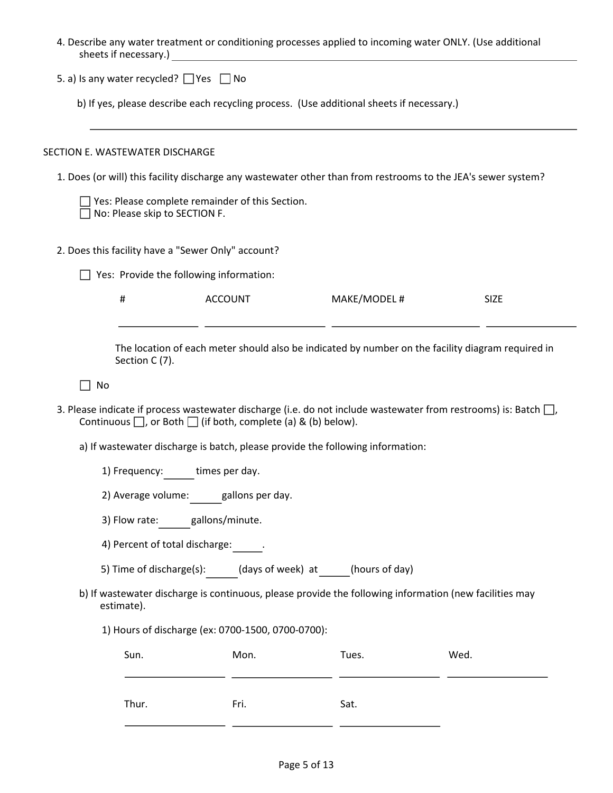| sheets if necessary.)                              |                                                                                         | <u> 1980 - Jan Barnett, amerikansk politiker (</u>                             | 4. Describe any water treatment or conditioning processes applied to incoming water ONLY. (Use additional     |                                                                                                                       |
|----------------------------------------------------|-----------------------------------------------------------------------------------------|--------------------------------------------------------------------------------|---------------------------------------------------------------------------------------------------------------|-----------------------------------------------------------------------------------------------------------------------|
| 5. a) Is any water recycled? $\Box$ Yes $\Box$ No  |                                                                                         |                                                                                |                                                                                                               |                                                                                                                       |
|                                                    |                                                                                         |                                                                                | b) If yes, please describe each recycling process. (Use additional sheets if necessary.)                      |                                                                                                                       |
| SECTION E. WASTEWATER DISCHARGE                    |                                                                                         |                                                                                |                                                                                                               |                                                                                                                       |
|                                                    |                                                                                         |                                                                                | 1. Does (or will) this facility discharge any wastewater other than from restrooms to the JEA's sewer system? |                                                                                                                       |
|                                                    | $\Box$ Yes: Please complete remainder of this Section.<br>No: Please skip to SECTION F. |                                                                                |                                                                                                               |                                                                                                                       |
| 2. Does this facility have a "Sewer Only" account? |                                                                                         |                                                                                |                                                                                                               |                                                                                                                       |
|                                                    | Yes: Provide the following information:                                                 |                                                                                |                                                                                                               |                                                                                                                       |
| #                                                  | <b>ACCOUNT</b>                                                                          |                                                                                | MAKE/MODEL #                                                                                                  | <b>SIZE</b>                                                                                                           |
| Section C (7).                                     |                                                                                         |                                                                                |                                                                                                               | The location of each meter should also be indicated by number on the facility diagram required in                     |
| No                                                 |                                                                                         |                                                                                |                                                                                                               |                                                                                                                       |
|                                                    |                                                                                         | Continuous $\Box$ , or Both $\Box$ (if both, complete (a) & (b) below).        |                                                                                                               | 3. Please indicate if process wastewater discharge (i.e. do not include wastewater from restrooms) is: Batch $\Box$ , |
|                                                    |                                                                                         | a) If wastewater discharge is batch, please provide the following information: |                                                                                                               |                                                                                                                       |
|                                                    | 1) Frequency: times per day.                                                            |                                                                                |                                                                                                               |                                                                                                                       |
|                                                    | 2) Average volume: gallons per day.                                                     |                                                                                |                                                                                                               |                                                                                                                       |
| 3) Flow rate:                                      | gallons/minute.                                                                         |                                                                                |                                                                                                               |                                                                                                                       |
|                                                    | 4) Percent of total discharge:                                                          |                                                                                |                                                                                                               |                                                                                                                       |
|                                                    | 5) Time of discharge(s):                                                                | (days of week) at (hours of day)                                               |                                                                                                               |                                                                                                                       |
| estimate).                                         |                                                                                         |                                                                                | b) If wastewater discharge is continuous, please provide the following information (new facilities may        |                                                                                                                       |
|                                                    |                                                                                         | 1) Hours of discharge (ex: 0700-1500, 0700-0700):                              |                                                                                                               |                                                                                                                       |
| Sun.                                               |                                                                                         | Mon.                                                                           | Tues.                                                                                                         | Wed.                                                                                                                  |
| Thur.                                              |                                                                                         | Fri.                                                                           | Sat.                                                                                                          |                                                                                                                       |

j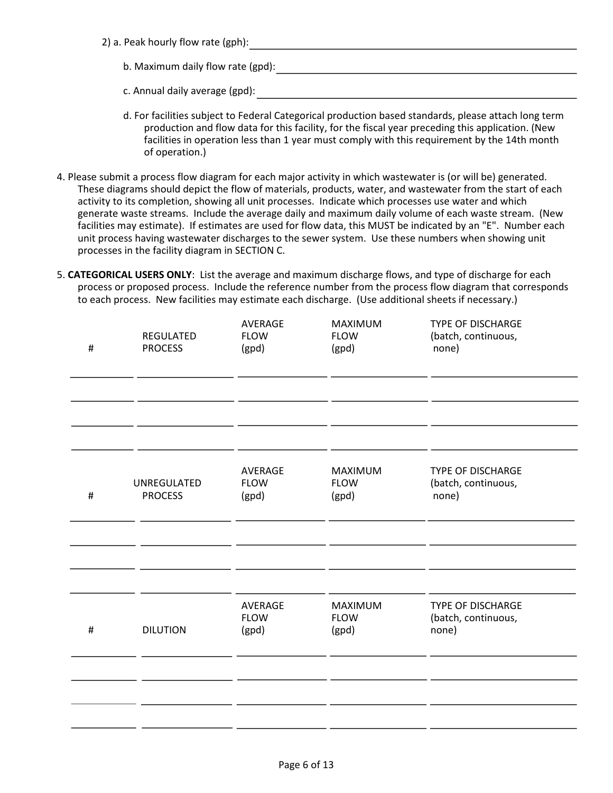2) a. Peak hourly flow rate (gph): b. Maximum daily flow rate (gpd):

c. Annual daily average (gpd):

- d. For facilities subject to Federal Categorical production based standards, please attach long term production and flow data for this facility, for the fiscal year preceding this application. (New facilities in operation less than 1 year must comply with this requirement by the 14th month of operation.)
- 4. Please submit a process flow diagram for each major activity in which wastewater is (or will be) generated. These diagrams should depict the flow of materials, products, water, and wastewater from the start of each activity to its completion, showing all unit processes. Indicate which processes use water and which generate waste streams. Include the average daily and maximum daily volume of each waste stream. (New facilities may estimate). If estimates are used for flow data, this MUST be indicated by an "E". Number each unit process having wastewater discharges to the sewer system. Use these numbers when showing unit processes in the facility diagram in SECTION C.
- 5. **CATEGORICAL USERS ONLY**: List the average and maximum discharge flows, and type of discharge for each process or proposed process. Include the reference number from the process flow diagram that corresponds to each process. New facilities may estimate each discharge. (Use additional sheets if necessary.)

| $\#$ | REGULATED<br><b>PROCESS</b>   | AVERAGE<br><b>FLOW</b><br>(gpd) | MAXIMUM<br><b>FLOW</b><br>(gpd) | <b>TYPE OF DISCHARGE</b><br>(batch, continuous,<br>none) |  |
|------|-------------------------------|---------------------------------|---------------------------------|----------------------------------------------------------|--|
|      |                               |                                 |                                 |                                                          |  |
| $\#$ | UNREGULATED<br><b>PROCESS</b> | AVERAGE<br><b>FLOW</b><br>(gpd) | MAXIMUM<br><b>FLOW</b><br>(gpd) | <b>TYPE OF DISCHARGE</b><br>(batch, continuous,<br>none) |  |
|      |                               |                                 |                                 |                                                          |  |
| $\#$ | <b>DILUTION</b>               | AVERAGE<br><b>FLOW</b><br>(gpd) | MAXIMUM<br><b>FLOW</b><br>(gpd) | <b>TYPE OF DISCHARGE</b><br>(batch, continuous,<br>none) |  |
|      |                               |                                 |                                 |                                                          |  |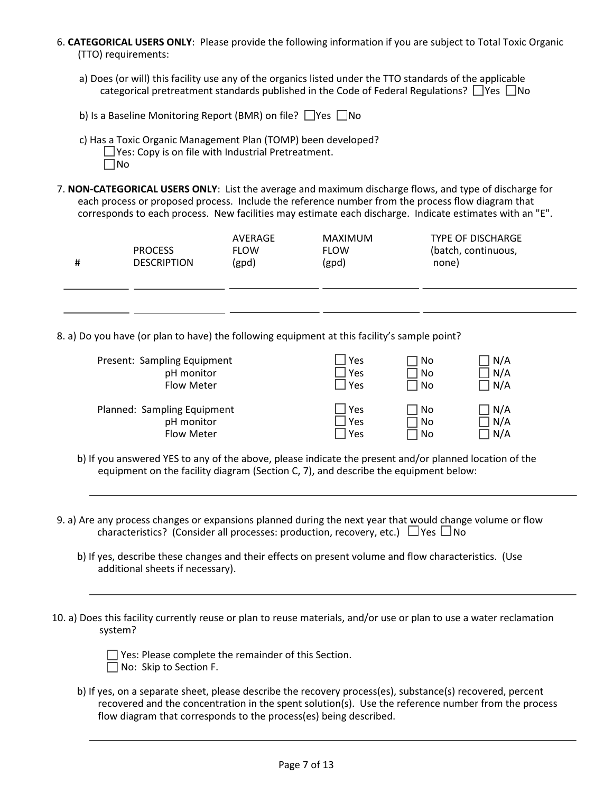6. **CATEGORICAL USERS ONLY**: Please provide the following information if you are subject to Total Toxic Organic (TTO) requirements:

- a) Does (or will) this facility use any of the organics listed under the TTO standards of the applicable categorical pretreatment standards published in the Code of Federal Regulations?  $\Box$  Yes  $\Box$  No
- b) Is a Baseline Monitoring Report (BMR) on file?  $\Box$  Yes  $\Box$  No
- c) Has a Toxic Organic Management Plan (TOMP) been developed?  $\Box$  Yes: Copy is on file with Industrial Pretreatment. No
- 7. **NON-CATEGORICAL USERS ONLY**: List the average and maximum discharge flows, and type of discharge for each process or proposed process. Include the reference number from the process flow diagram that corresponds to each process. New facilities may estimate each discharge. Indicate estimates with an "E".

| # | <b>PROCESS</b><br><b>DESCRIPTION</b> | AVERAGE<br><b>FLOW</b><br>(gpd) | MAXIMUM<br><b>FLOW</b><br>(gpd) | <b>TYPE OF DISCHARGE</b><br>(batch, continuous,<br>none) |  |
|---|--------------------------------------|---------------------------------|---------------------------------|----------------------------------------------------------|--|
|   |                                      |                                 |                                 |                                                          |  |

8. a) Do you have (or plan to have) the following equipment at this facility's sample point?

| Present: Sampling Equipment | Yes | l No | N/A |
|-----------------------------|-----|------|-----|
| pH monitor                  | Yes | ∣No  | N/A |
| <b>Flow Meter</b>           | Yes | l No | N/A |
| Planned: Sampling Equipment | Yes | 1 No | N/A |
| pH monitor                  | Yes | No   | N/A |
| Flow Meter                  | Yes | l No | N/A |

- b) If you answered YES to any of the above, please indicate the present and/or planned location of the equipment on the facility diagram (Section C, 7), and describe the equipment below:
- 9. a) Are any process changes or expansions planned during the next year that would change volume or flow characteristics? (Consider all processes: production, recovery, etc.)  $\Box$  Yes  $\Box$  No
	- b) If yes, describe these changes and their effects on present volume and flow characteristics. (Use additional sheets if necessary).
- 10. a) Does this facility currently reuse or plan to reuse materials, and/or use or plan to use a water reclamation system?

| $\Box$ Yes: Please complete the remainder of this Section. |
|------------------------------------------------------------|
| $\Box$ No: Skip to Section F.                              |

 $\overline{a}$ 

l,

b) If yes, on a separate sheet, please describe the recovery process(es), substance(s) recovered, percent recovered and the concentration in the spent solution(s). Use the reference number from the process flow diagram that corresponds to the process(es) being described.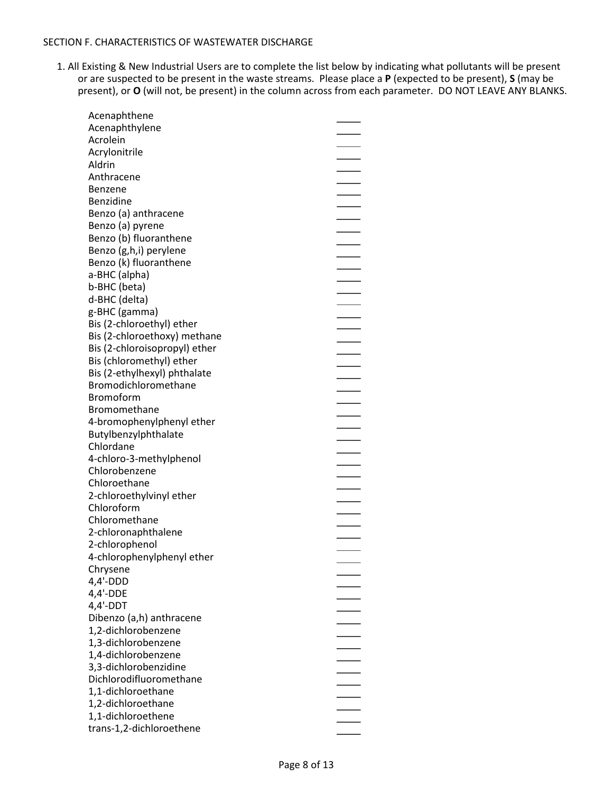#### SECTION F. CHARACTERISTICS OF WASTEWATER DISCHARGE

1. All Existing & New Industrial Users are to complete the list below by indicating what pollutants will be present or are suspected to be present in the waste streams. Please place a **P** (expected to be present), **S** (may be present), or **O** (will not, be present) in the column across from each parameter. DO NOT LEAVE ANY BLANKS.

| Acenaphthene                  |  |
|-------------------------------|--|
| Acenaphthylene                |  |
| Acrolein                      |  |
| Acrylonitrile                 |  |
| Aldrin                        |  |
| Anthracene                    |  |
| Benzene                       |  |
| Benzidine                     |  |
| Benzo (a) anthracene          |  |
| Benzo (a) pyrene              |  |
| Benzo (b) fluoranthene        |  |
| Benzo (g,h,i) perylene        |  |
| Benzo (k) fluoranthene        |  |
| a-BHC (alpha)                 |  |
| b-BHC (beta)                  |  |
| d-BHC (delta)                 |  |
| g-BHC (gamma)                 |  |
| Bis (2-chloroethyl) ether     |  |
| Bis (2-chloroethoxy) methane  |  |
| Bis (2-chloroisopropyl) ether |  |
| Bis (chloromethyl) ether      |  |
| Bis (2-ethylhexyl) phthalate  |  |
| Bromodichloromethane          |  |
| <b>Bromoform</b>              |  |
| Bromomethane                  |  |
| 4-bromophenylphenyl ether     |  |
| Butylbenzylphthalate          |  |
| Chlordane                     |  |
| 4-chloro-3-methylphenol       |  |
| Chlorobenzene                 |  |
| Chloroethane                  |  |
| 2-chloroethylvinyl ether      |  |
| Chloroform                    |  |
| Chloromethane                 |  |
| 2-chloronaphthalene           |  |
| 2-chlorophenol                |  |
| 4-chlorophenylphenyl ether    |  |
| Chrysene                      |  |
| $4,4'-DDD$                    |  |
| $4,4'-DDE$                    |  |
| $4,4'$ -DDT                   |  |
| Dibenzo (a,h) anthracene      |  |
| 1,2-dichlorobenzene           |  |
| 1,3-dichlorobenzene           |  |
| 1,4-dichlorobenzene           |  |
| 3,3-dichlorobenzidine         |  |
| Dichlorodifluoromethane       |  |
| 1,1-dichloroethane            |  |
|                               |  |
| 1,2-dichloroethane            |  |
| 1,1-dichloroethene            |  |
| trans-1,2-dichloroethene      |  |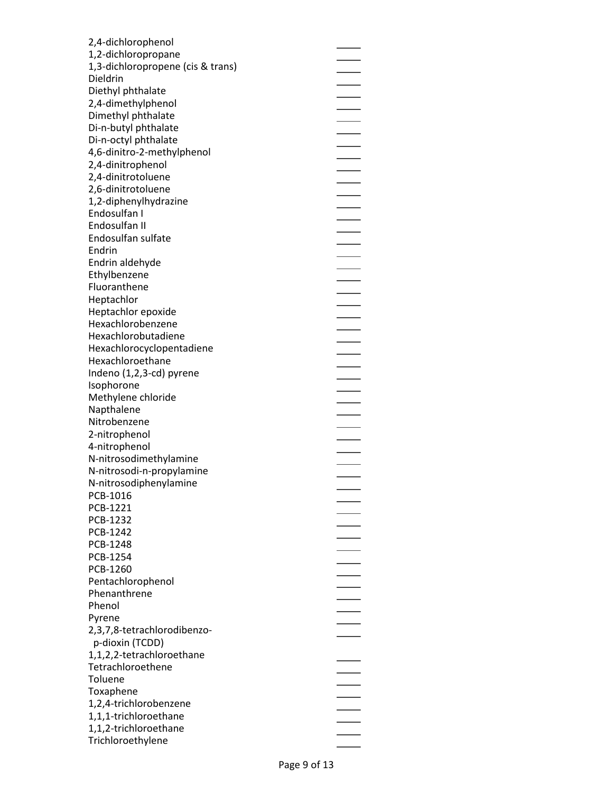| 2,4-dichlorophenol                |  |
|-----------------------------------|--|
| 1,2-dichloropropane               |  |
| 1,3-dichloropropene (cis & trans) |  |
| Dieldrin                          |  |
| Diethyl phthalate                 |  |
| 2,4-dimethylphenol                |  |
|                                   |  |
| Dimethyl phthalate                |  |
| Di-n-butyl phthalate              |  |
| Di-n-octyl phthalate              |  |
| 4,6-dinitro-2-methylphenol        |  |
| 2,4-dinitrophenol                 |  |
| 2,4-dinitrotoluene                |  |
| 2,6-dinitrotoluene                |  |
| 1,2-diphenylhydrazine             |  |
| Endosulfan I                      |  |
| Endosulfan II                     |  |
| Endosulfan sulfate                |  |
| Endrin                            |  |
| Endrin aldehyde                   |  |
| Ethylbenzene                      |  |
| Fluoranthene                      |  |
| Heptachlor                        |  |
| Heptachlor epoxide                |  |
| Hexachlorobenzene                 |  |
| Hexachlorobutadiene               |  |
|                                   |  |
| Hexachlorocyclopentadiene         |  |
| Hexachloroethane                  |  |
| Indeno (1,2,3-cd) pyrene          |  |
| Isophorone                        |  |
| Methylene chloride                |  |
| Napthalene                        |  |
| Nitrobenzene                      |  |
| 2-nitrophenol                     |  |
| 4-nitrophenol                     |  |
| N-nitrosodimethylamine            |  |
| N-nitrosodi-n-propylamine         |  |
| N-nitrosodiphenylamine            |  |
| PCB-1016                          |  |
| PCB-1221                          |  |
| PCB-1232                          |  |
| PCB-1242                          |  |
| PCB-1248                          |  |
| PCB-1254                          |  |
| PCB-1260                          |  |
| Pentachlorophenol                 |  |
| Phenanthrene                      |  |
| Phenol                            |  |
| Pyrene                            |  |
| 2,3,7,8-tetrachlorodibenzo-       |  |
|                                   |  |
| p-dioxin (TCDD)                   |  |
| 1,1,2,2-tetrachloroethane         |  |
| Tetrachloroethene                 |  |
| Toluene                           |  |
| Toxaphene                         |  |
| 1,2,4-trichlorobenzene            |  |
| 1,1,1-trichloroethane             |  |
| 1,1,2-trichloroethane             |  |
| Trichloroethylene                 |  |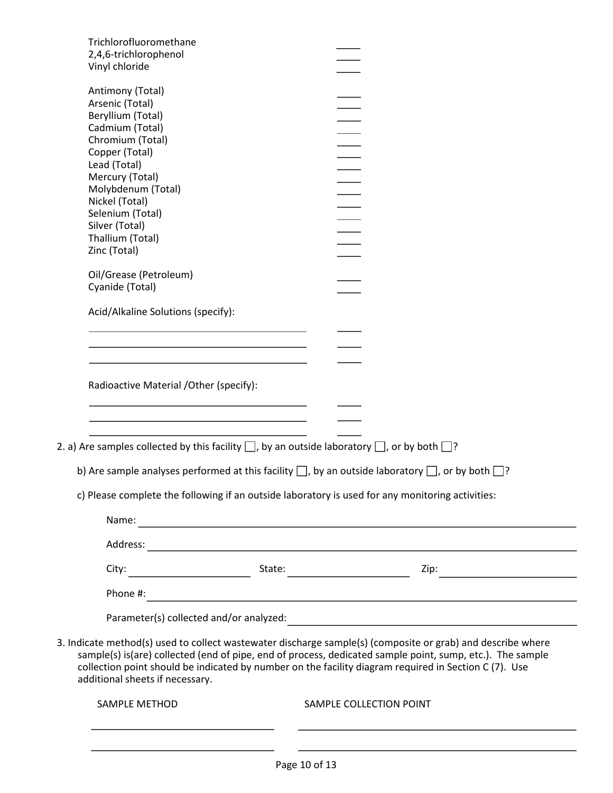| Trichlorofluoromethane<br>2,4,6-trichlorophenol<br>Vinyl chloride                                                    |                                                                                                                                                                                                                                                                                                                                   |  |
|----------------------------------------------------------------------------------------------------------------------|-----------------------------------------------------------------------------------------------------------------------------------------------------------------------------------------------------------------------------------------------------------------------------------------------------------------------------------|--|
| Antimony (Total)<br>Arsenic (Total)                                                                                  |                                                                                                                                                                                                                                                                                                                                   |  |
| Beryllium (Total)                                                                                                    |                                                                                                                                                                                                                                                                                                                                   |  |
| Cadmium (Total)                                                                                                      |                                                                                                                                                                                                                                                                                                                                   |  |
| Chromium (Total)                                                                                                     |                                                                                                                                                                                                                                                                                                                                   |  |
| Copper (Total)                                                                                                       |                                                                                                                                                                                                                                                                                                                                   |  |
| Lead (Total)                                                                                                         |                                                                                                                                                                                                                                                                                                                                   |  |
| Mercury (Total)<br>Molybdenum (Total)                                                                                |                                                                                                                                                                                                                                                                                                                                   |  |
| Nickel (Total)                                                                                                       |                                                                                                                                                                                                                                                                                                                                   |  |
| Selenium (Total)                                                                                                     |                                                                                                                                                                                                                                                                                                                                   |  |
| Silver (Total)                                                                                                       |                                                                                                                                                                                                                                                                                                                                   |  |
| Thallium (Total)                                                                                                     |                                                                                                                                                                                                                                                                                                                                   |  |
| Zinc (Total)                                                                                                         |                                                                                                                                                                                                                                                                                                                                   |  |
|                                                                                                                      |                                                                                                                                                                                                                                                                                                                                   |  |
| Oil/Grease (Petroleum)                                                                                               |                                                                                                                                                                                                                                                                                                                                   |  |
| Cyanide (Total)                                                                                                      |                                                                                                                                                                                                                                                                                                                                   |  |
|                                                                                                                      |                                                                                                                                                                                                                                                                                                                                   |  |
| Acid/Alkaline Solutions (specify):                                                                                   |                                                                                                                                                                                                                                                                                                                                   |  |
|                                                                                                                      |                                                                                                                                                                                                                                                                                                                                   |  |
|                                                                                                                      |                                                                                                                                                                                                                                                                                                                                   |  |
|                                                                                                                      |                                                                                                                                                                                                                                                                                                                                   |  |
| Radioactive Material /Other (specify):                                                                               |                                                                                                                                                                                                                                                                                                                                   |  |
| 2. a) Are samples collected by this facility $\square$ , by an outside laboratory $\square$ , or by both $\square$ ? |                                                                                                                                                                                                                                                                                                                                   |  |
|                                                                                                                      | b) Are sample analyses performed at this facility $\Box$ , by an outside laboratory $\Box$ , or by both $\Box$ ?                                                                                                                                                                                                                  |  |
|                                                                                                                      | c) Please complete the following if an outside laboratory is used for any monitoring activities:                                                                                                                                                                                                                                  |  |
|                                                                                                                      |                                                                                                                                                                                                                                                                                                                                   |  |
|                                                                                                                      |                                                                                                                                                                                                                                                                                                                                   |  |
|                                                                                                                      |                                                                                                                                                                                                                                                                                                                                   |  |
|                                                                                                                      |                                                                                                                                                                                                                                                                                                                                   |  |
|                                                                                                                      |                                                                                                                                                                                                                                                                                                                                   |  |
| additional sheets if necessary.                                                                                      | 3. Indicate method(s) used to collect wastewater discharge sample(s) (composite or grab) and describe where<br>sample(s) is(are) collected (end of pipe, end of process, dedicated sample point, sump, etc.). The sample<br>collection point should be indicated by number on the facility diagram required in Section C (7). Use |  |
| SAMPLE METHOD                                                                                                        | SAMPLE COLLECTION POINT                                                                                                                                                                                                                                                                                                           |  |
|                                                                                                                      |                                                                                                                                                                                                                                                                                                                                   |  |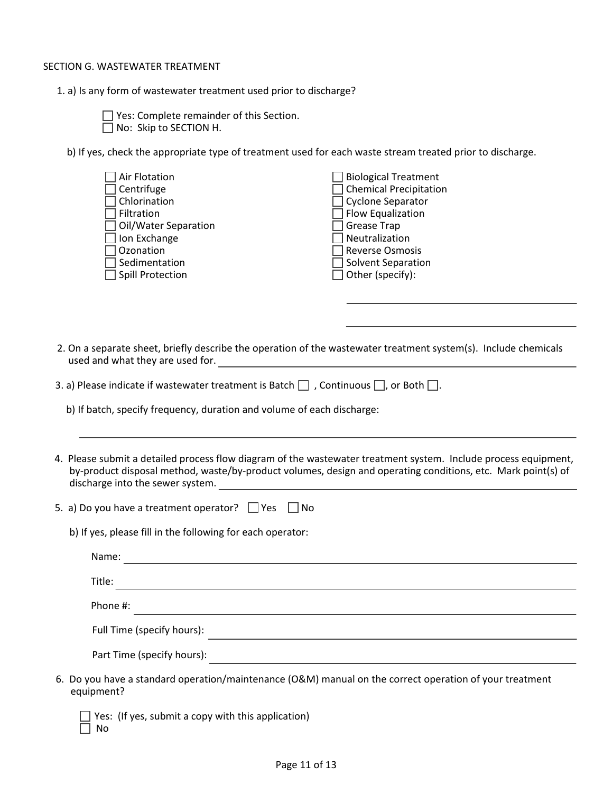#### SECTION G. WASTEWATER TREATMENT

1. a) Is any form of wastewater treatment used prior to discharge?

**The Yes: Complete remainder of this Section.** No: Skip to SECTION H.

b) If yes, check the appropriate type of treatment used for each waste stream treated prior to discharge.

| Air Flotation           | $\Box$ Biological Treatment   |
|-------------------------|-------------------------------|
| Centrifuge              | $\Box$ Chemical Precipitation |
| Chlorination            | $\Box$ Cyclone Separator      |
| Filtration              | $\Box$ Flow Equalization      |
| □ Oil/Water Separation  | □ Grease Trap                 |
| Ion Exchange            | $\Box$ Neutralization         |
| Ozonation               | Reverse Osmosis               |
| Sedimentation           | $\Box$ Solvent Separation     |
| <b>Spill Protection</b> | $\Box$ Other (specify):       |

 2. On a separate sheet, briefly describe the operation of the wastewater treatment system(s). Include chemicals used and what they are used for.

| 3. a) Please indicate if wastewater treatment is Batch $\Box$ , Continuous $\Box$ , or Both $\Box$ . |  |
|------------------------------------------------------------------------------------------------------|--|
|------------------------------------------------------------------------------------------------------|--|

b) If batch, specify frequency, duration and volume of each discharge:

4. Please submit a detailed process flow diagram of the wastewater treatment system. Include process equipment, by-product disposal method, waste/by-product volumes, design and operating conditions, etc. Mark point(s) of discharge into the sewer system.

| 5. a) Do you have a treatment operator? $\Box$ Yes $\Box$ No |  |  |
|--------------------------------------------------------------|--|--|
|--------------------------------------------------------------|--|--|

b) If yes, please fill in the following for each operator:

|        | Name:                      |
|--------|----------------------------|
| Title: |                            |
|        | Phone #:                   |
|        | Full Time (specify hours): |
|        | Part Time (specify hours): |

 $\Box$  Yes: (If yes, submit a copy with this application)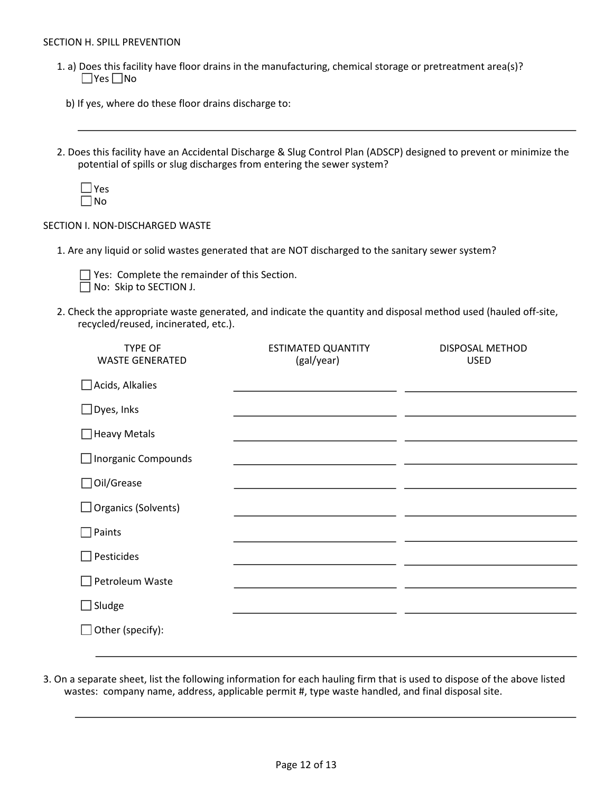#### SECTION H. SPILL PREVENTION

- 1. a) Does this facility have floor drains in the manufacturing, chemical storage or pretreatment area(s)?  $\Box$ Yes  $\Box$ No
	- b) If yes, where do these floor drains discharge to:
- 2. Does this facility have an Accidental Discharge & Slug Control Plan (ADSCP) designed to prevent or minimize the potential of spills or slug discharges from entering the sewer system?



 $\overline{a}$ 

## SECTION I. NON-DISCHARGED WASTE

1. Are any liquid or solid wastes generated that are NOT discharged to the sanitary sewer system?



Yes: Complete the remainder of this Section. No: Skip to SECTION J.

2. Check the appropriate waste generated, and indicate the quantity and disposal method used (hauled off-site, recycled/reused, incinerated, etc.).

| <b>TYPE OF</b><br><b>WASTE GENERATED</b> | <b>ESTIMATED QUANTITY</b><br>(gal/year) | DISPOSAL METHOD<br><b>USED</b> |
|------------------------------------------|-----------------------------------------|--------------------------------|
| $\Box$ Acids, Alkalies                   |                                         |                                |
| $\Box$ Dyes, Inks                        |                                         |                                |
| $\Box$ Heavy Metals                      |                                         |                                |
| $\Box$ Inorganic Compounds               |                                         |                                |
| □ Oil/Grease                             |                                         |                                |
| $\Box$ Organics (Solvents)               |                                         |                                |
| Paints                                   |                                         |                                |
| Pesticides                               |                                         |                                |
| Petroleum Waste                          |                                         |                                |
| $\Box$ Sludge                            |                                         |                                |
| $\Box$ Other (specify):                  |                                         |                                |
|                                          |                                         |                                |

3. On a separate sheet, list the following information for each hauling firm that is used to dispose of the above listed wastes: company name, address, applicable permit #, type waste handled, and final disposal site.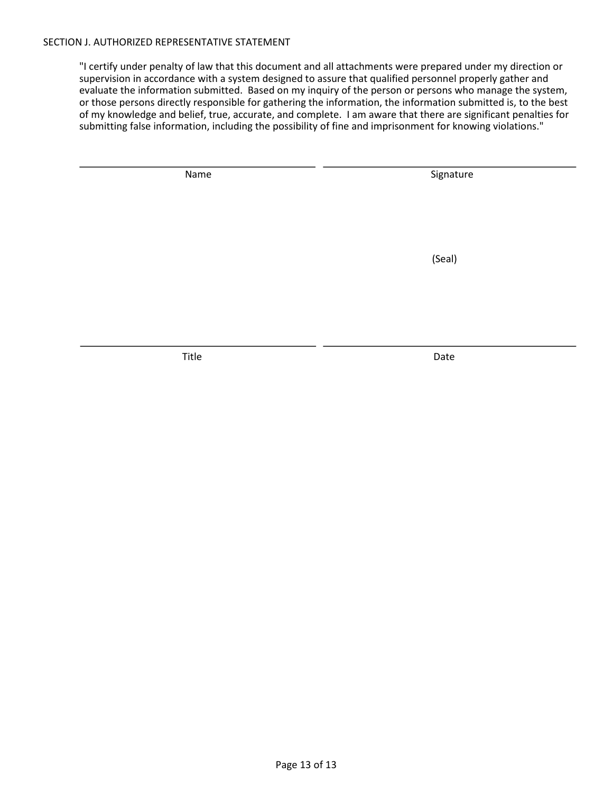#### SECTION J. AUTHORIZED REPRESENTATIVE STATEMENT

"I certify under penalty of law that this document and all attachments were prepared under my direction or supervision in accordance with a system designed to assure that qualified personnel properly gather and evaluate the information submitted. Based on my inquiry of the person or persons who manage the system, or those persons directly responsible for gathering the information, the information submitted is, to the best of my knowledge and belief, true, accurate, and complete. I am aware that there are significant penalties for submitting false information, including the possibility of fine and imprisonment for knowing violations."

L

 $\overline{a}$ 

Name Signature Signature

(Seal)

Title Date Date Date Date Date Date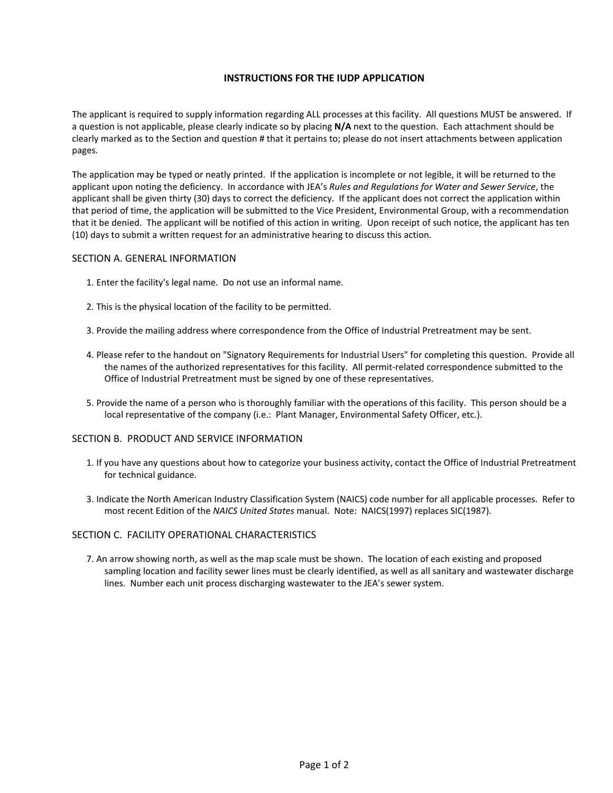#### **INSTRUCTIONS FOR THE IUDP APPLICATION**

The applicant is required to supply information regarding ALL processes at this facility. All questions MUST be answered. If a question is not applicable, please clearly indicate so by placing **N/A** next to the question. Each attachment should be clearly marked as to the Section and question # that it pertains to; please do not insert attachments between application pages.

The application may be typed or neatly printed. If the application is incomplete or not legible, it will be returned to the applicant upon noting the deficiency. In accordance with JEA's *Rules and Regulations for Water and Sewer Service*, the applicant shall be given thirty (30) days to correct the deficiency. If the applicant does not correct the application within that period of time, the application will be submitted to the Vice President, Environmental Group, with a recommendation that it be denied. The applicant will be notified of this action in writing. Upon receipt of such notice, the applicant has ten (10) days to submit a written request for an administrative hearing to discuss this action.

#### SECTION A. GENERAL INFORMATION

- 1. Enter the facility's legal name. Do not use an informal name.
- 2. This is the physical location of the facility to be permitted.
- 3. Provide the mailing address where correspondence from the Office of Industrial Pretreatment may be sent.
- 4. Please refer to the handout on "Signatory Requirements for Industrial Users" for completing this question. Provide all the names of the authorized representatives for this facility. All permit-related correspondence submitted to the Office of Industrial Pretreatment must be signed by one of these representatives.
- 5. Provide the name of a person who is thoroughly familiar with the operations of this facility. This person should be a local representative of the company (i.e.: Plant Manager, Environmental Safety Officer, etc.).

#### SECTION B. PRODUCT AND SERVICE INFORMATION

- 1. If you have any questions about how to categorize your business activity, contact the Office of Industrial Pretreatment for technical guidance.
- 3. Indicate the North American Industry Classification System (NAICS) code number for all applicable processes. Refer to most recent Edition of the *NAICS United States* manual. Note: NAICS(1997) replaces SIC(1987).

#### SECTION C. FACILITY OPERATIONAL CHARACTERISTICS

7. An arrow showing north, as well as the map scale must be shown. The location of each existing and proposed sampling location and facility sewer lines must be clearly identified, as well as all sanitary and wastewater discharge lines. Number each unit process discharging wastewater to the JEA's sewer system.